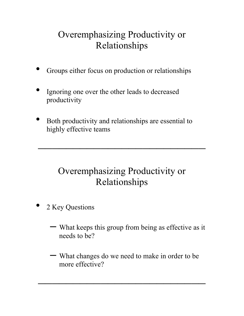# Overemphasizing Productivity or Relationships

- Groups either focus on production or relationships
- Ignoring one over the other leads to decreased productivity
- Both productivity and relationships are essential to highly effective teams

## Overemphasizing Productivity or Relationships

 $\mathcal{L}_\text{max}$  and  $\mathcal{L}_\text{max}$  are the set of  $\mathcal{L}_\text{max}$  and  $\mathcal{L}_\text{max}$ 

- 2 Key Questions
	- What keeps this group from being as effective as it needs to be?
	- What changes do we need to make in order to be more effective?

\_\_\_\_\_\_\_\_\_\_\_\_\_\_\_\_\_\_\_\_\_\_\_\_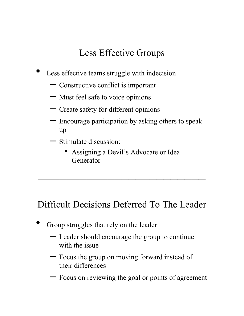## Less Effective Groups

- Less effective teams struggle with indecision
	- Constructive conflict is important
	- Must feel safe to voice opinions
	- Create safety for different opinions
	- Encourage participation by asking others to speak up
	- Stimulate discussion:
		- Assigning a Devil's Advocate or Idea Generator

\_\_\_\_\_\_\_\_\_\_\_\_\_\_\_\_\_\_\_\_\_\_\_\_

## Difficult Decisions Deferred To The Leader

- Group struggles that rely on the leader
	- Leader should encourage the group to continue with the issue
	- Focus the group on moving forward instead of their differences
	- Focus on reviewing the goal or points of agreement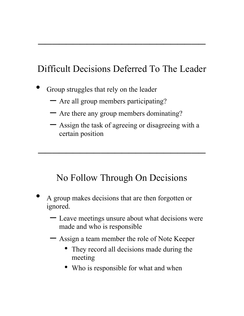# Difficult Decisions Deferred To The Leader

\_\_\_\_\_\_\_\_\_\_\_\_\_\_\_\_\_\_\_\_\_\_\_\_

- Group struggles that rely on the leader
	- Are all group members participating?
	- Are there any group members dominating?
	- Assign the task of agreeing or disagreeing with a certain position

\_\_\_\_\_\_\_\_\_\_\_\_\_\_\_\_\_\_\_\_\_\_\_\_

#### No Follow Through On Decisions

- A group makes decisions that are then forgotten or ignored.
	- Leave meetings unsure about what decisions were made and who is responsible
	- Assign a team member the role of Note Keeper
		- They record all decisions made during the meeting
		- Who is responsible for what and when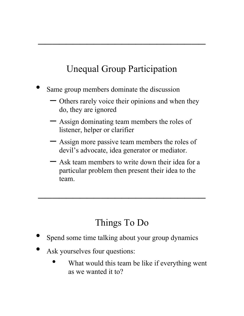# Unequal Group Participation

\_\_\_\_\_\_\_\_\_\_\_\_\_\_\_\_\_\_\_\_\_\_\_\_

- Same group members dominate the discussion
	- Others rarely voice their opinions and when they do, they are ignored
	- Assign dominating team members the roles of listener, helper or clarifier
	- Assign more passive team members the roles of devil's advocate, idea generator or mediator.
	- Ask team members to write down their idea for a particular problem then present their idea to the team.

## Things To Do

\_\_\_\_\_\_\_\_\_\_\_\_\_\_\_\_\_\_\_\_\_\_\_\_

- Spend some time talking about your group dynamics
- Ask yourselves four questions:
	- What would this team be like if everything went as we wanted it to?